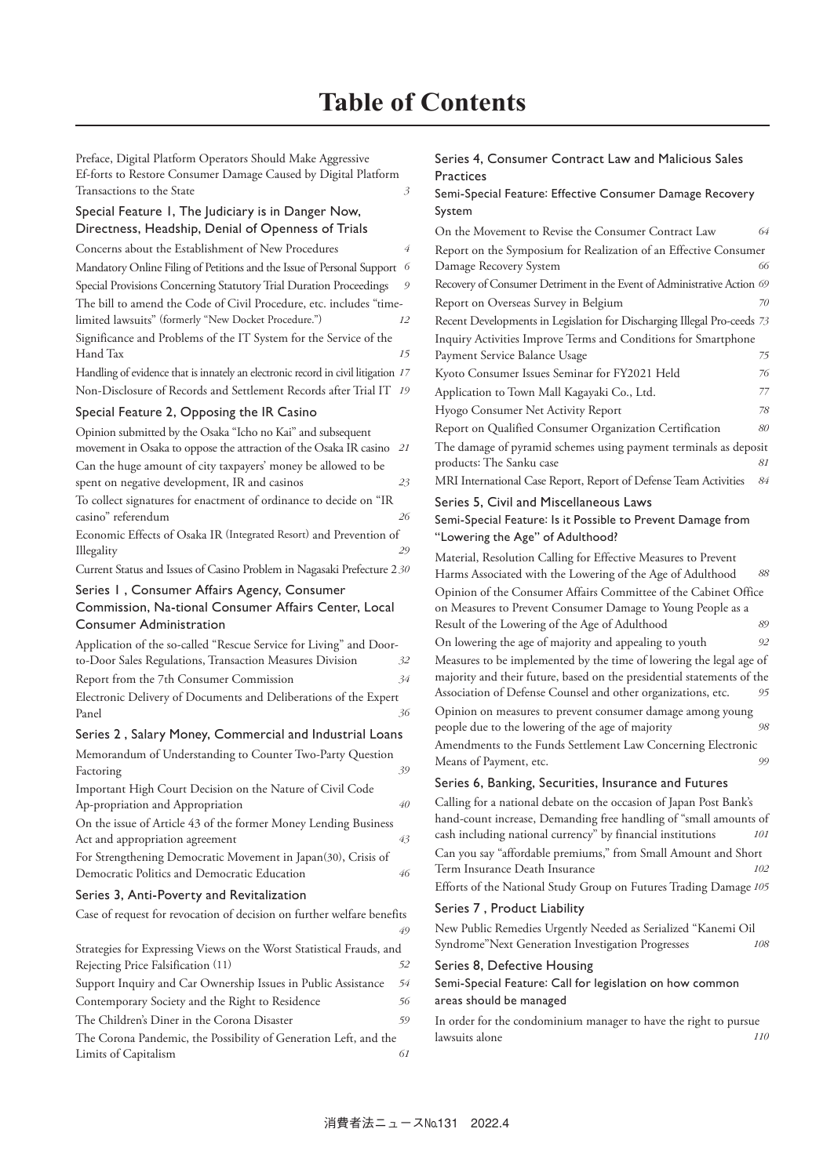Preface, Digital Platform Operators Should Make Aggressive Ef-forts to Restore Consumer Damage Caused by Digital Platform Transactions to the State *3*

### Special Feature 1, The Judiciary is in Danger Now, Directness, Headship, Denial of Openness of Trials

# Concerns about the Establishment of New Procedures *4* Mandatory Online Filing of Petitions and the Issue of Personal Support *6* Special Provisions Concerning Statutory Trial Duration Proceedings *9* The bill to amend the Code of Civil Procedure, etc. includes "timelimited lawsuits" (formerly "New Docket Procedure.") *12* Significance and Problems of the IT System for the Service of the Hand Tax *15* Handling of evidence that is innately an electronic record in civil litigation *17* Non-Disclosure of Records and Settlement Records after Trial IT *19* Special Feature 2, Opposing the IR Casino Opinion submitted by the Osaka "Icho no Kai" and subsequent movement in Osaka to oppose the attraction of the Osaka IR casino *21* Can the huge amount of city taxpayers' money be allowed to be spent on negative development, IR and casinos *23* To collect signatures for enactment of ordinance to decide on "IR casino" referendum *26* Economic Effects of Osaka IR (Integrated Resort) and Prevention of Illegality *29* Current Status and Issues of Casino Problem in Nagasaki Prefecture 2 *30* Series 1 , Consumer Affairs Agency, Consumer Commission, Na-tional Consumer Affairs Center, Local Consumer Administration Application of the so-called "Rescue Service for Living" and Doorto-Door Sales Regulations, Transaction Measures Division *32* Report from the 7th Consumer Commission *34* Electronic Delivery of Documents and Deliberations of the Expert Panel *36* Series 2 , Salary Money, Commercial and Industrial Loans Memorandum of Understanding to Counter Two-Party Question Factoring 39 Important High Court Decision on the Nature of Civil Code Ap-propriation and Appropriation *40* On the issue of Article 43 of the former Money Lending Business Act and appropriation agreement *43* For Strengthening Democratic Movement in Japan(30), Crisis of Democratic Politics and Democratic Education *46* Series 3, Anti-Poverty and Revitalization Case of request for revocation of decision on further welfare benefits *49* Strategies for Expressing Views on the Worst Statistical Frauds, and Rejecting Price Falsification (11) *52* Support Inquiry and Car Ownership Issues in Public Assistance *54* Contemporary Society and the Right to Residence *56*

The Children's Diner in the Corona Disaster *59* The Corona Pandemic, the Possibility of Generation Left, and the Limits of Capitalism *61*

#### Series 4, Consumer Contract Law and Malicious Sales **Practices**

#### Semi-Special Feature: Effective Consumer Damage Recovery System

| On the Movement to Revise the Consumer Contract Law                     | 64 |  |
|-------------------------------------------------------------------------|----|--|
| Report on the Symposium for Realization of an Effective Consumer        |    |  |
| Damage Recovery System                                                  | 66 |  |
| Recovery of Consumer Detriment in the Event of Administrative Action 69 |    |  |
| Report on Overseas Survey in Belgium                                    | 70 |  |
| Recent Developments in Legislation for Discharging Illegal Pro-ceeds 73 |    |  |
| Inquiry Activities Improve Terms and Conditions for Smartphone          |    |  |
| Payment Service Balance Usage                                           | 75 |  |
| Kyoto Consumer Issues Seminar for FY2021 Held                           | 76 |  |
| Application to Town Mall Kagayaki Co., Ltd.                             | 77 |  |
| Hyogo Consumer Net Activity Report                                      | 78 |  |
| Report on Qualified Consumer Organization Certification                 | 80 |  |
| The damage of pyramid schemes using payment terminals as deposit        |    |  |
| products: The Sanku case                                                | 81 |  |
| MRI International Case Report, Report of Defense Team Activities        | 84 |  |

# Series 5, Civil and Miscellaneous Laws

# Semi-Special Feature: Is it Possible to Prevent Damage from "Lowering the Age" of Adulthood?

Material, Resolution Calling for Effective Measures to Prevent Harms Associated with the Lowering of the Age of Adulthood *88* Opinion of the Consumer Affairs Committee of the Cabinet Office on Measures to Prevent Consumer Damage to Young People as a Result of the Lowering of the Age of Adulthood *89* On lowering the age of majority and appealing to youth *92* Measures to be implemented by the time of lowering the legal age of majority and their future, based on the presidential statements of the Association of Defense Counsel and other organizations, etc. *95* Opinion on measures to prevent consumer damage among young people due to the lowering of the age of majority *98* Amendments to the Funds Settlement Law Concerning Electronic Means of Payment, etc. *99*

#### Series 6, Banking, Securities, Insurance and Futures

Calling for a national debate on the occasion of Japan Post Bank's hand-count increase, Demanding free handling of "small amounts of cash including national currency" by financial institutions *101* Can you say "affordable premiums," from Small Amount and Short Term Insurance Death Insurance *102* Efforts of the National Study Group on Futures Trading Damage *105*

#### Series 7 , Product Liability

New Public Remedies Urgently Needed as Serialized "Kanemi Oil Syndrome"Next Generation Investigation Progresses *108*

#### Series 8, Defective Housing

#### Semi-Special Feature: Call for legislation on how common areas should be managed

In order for the condominium manager to have the right to pursue lawsuits alone *110*